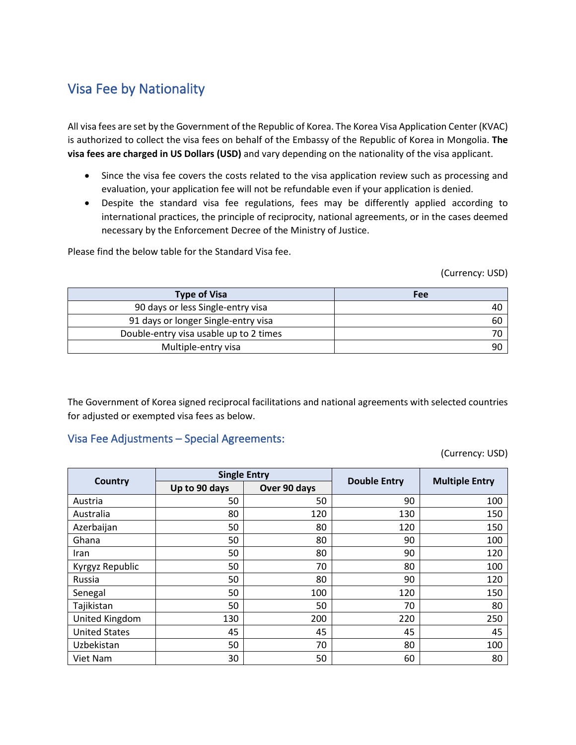## Visa Fee by Nationality

All visa fees are set by the Government of the Republic of Korea. The Korea Visa Application Center (KVAC) is authorized to collect the visa fees on behalf of the Embassy of the Republic of Korea in Mongolia. **The visa fees are charged in US Dollars (USD)** and vary depending on the nationality of the visa applicant.

- Since the visa fee covers the costs related to the visa application review such as processing and evaluation, your application fee will not be refundable even if your application is denied.
- Despite the standard visa fee regulations, fees may be differently applied according to international practices, the principle of reciprocity, national agreements, or in the cases deemed necessary by the Enforcement Decree of the Ministry of Justice.

Please find the below table for the Standard Visa fee.

(Currency: USD)

| <b>Type of Visa</b>                    | Fee |
|----------------------------------------|-----|
| 90 days or less Single-entry visa      | 40  |
| 91 days or longer Single-entry visa    | 60  |
| Double-entry visa usable up to 2 times |     |
| Multiple-entry visa                    | 90  |

The Government of Korea signed reciprocal facilitations and national agreements with selected countries for adjusted or exempted visa fees as below.

## Visa Fee Adjustments – Special Agreements:

(Currency: USD)

| Country              | <b>Single Entry</b> |              |                     |                       |
|----------------------|---------------------|--------------|---------------------|-----------------------|
|                      | Up to 90 days       | Over 90 days | <b>Double Entry</b> | <b>Multiple Entry</b> |
| Austria              | 50                  | 50           | 90                  | 100                   |
| Australia            | 80                  | 120          | 130                 | 150                   |
| Azerbaijan           | 50                  | 80           | 120                 | 150                   |
| Ghana                | 50                  | 80           | 90                  | 100                   |
| Iran                 | 50                  | 80           | 90                  | 120                   |
| Kyrgyz Republic      | 50                  | 70           | 80                  | 100                   |
| Russia               | 50                  | 80           | 90                  | 120                   |
| Senegal              | 50                  | 100          | 120                 | 150                   |
| Tajikistan           | 50                  | 50           | 70                  | 80                    |
| United Kingdom       | 130                 | 200          | 220                 | 250                   |
| <b>United States</b> | 45                  | 45           | 45                  | 45                    |
| Uzbekistan           | 50                  | 70           | 80                  | 100                   |
| Viet Nam             | 30                  | 50           | 60                  | 80                    |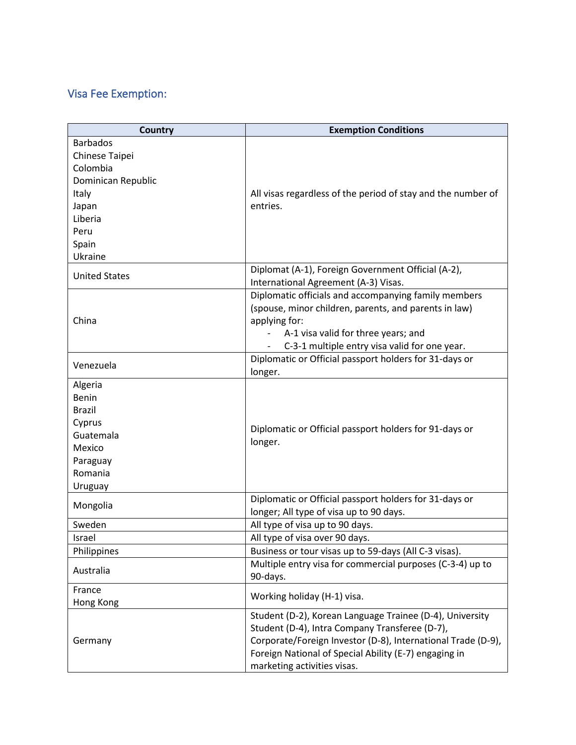## Visa Fee Exemption:

| <b>Country</b>       | <b>Exemption Conditions</b>                                                                |  |
|----------------------|--------------------------------------------------------------------------------------------|--|
| <b>Barbados</b>      |                                                                                            |  |
| Chinese Taipei       |                                                                                            |  |
| Colombia             |                                                                                            |  |
| Dominican Republic   |                                                                                            |  |
| Italy                | All visas regardless of the period of stay and the number of                               |  |
| Japan                | entries.                                                                                   |  |
| Liberia              |                                                                                            |  |
| Peru                 |                                                                                            |  |
| Spain                |                                                                                            |  |
| Ukraine              |                                                                                            |  |
| <b>United States</b> | Diplomat (A-1), Foreign Government Official (A-2),<br>International Agreement (A-3) Visas. |  |
|                      | Diplomatic officials and accompanying family members                                       |  |
|                      | (spouse, minor children, parents, and parents in law)                                      |  |
| China                | applying for:                                                                              |  |
|                      | A-1 visa valid for three years; and                                                        |  |
|                      | C-3-1 multiple entry visa valid for one year.                                              |  |
| Venezuela            | Diplomatic or Official passport holders for 31-days or                                     |  |
|                      | longer.                                                                                    |  |
| Algeria<br>Benin     |                                                                                            |  |
| <b>Brazil</b>        |                                                                                            |  |
| Cyprus               |                                                                                            |  |
| Guatemala            | Diplomatic or Official passport holders for 91-days or<br>longer.                          |  |
| Mexico               |                                                                                            |  |
| Paraguay             |                                                                                            |  |
| Romania              |                                                                                            |  |
| Uruguay              |                                                                                            |  |
|                      | Diplomatic or Official passport holders for 31-days or                                     |  |
| Mongolia             | longer; All type of visa up to 90 days.                                                    |  |
| Sweden               | All type of visa up to 90 days.                                                            |  |
| <b>Israel</b>        | All type of visa over 90 days.                                                             |  |
| Philippines          | Business or tour visas up to 59-days (All C-3 visas).                                      |  |
| Australia            | Multiple entry visa for commercial purposes (C-3-4) up to                                  |  |
|                      | 90-days.                                                                                   |  |
| France               | Working holiday (H-1) visa.                                                                |  |
| Hong Kong            |                                                                                            |  |
|                      | Student (D-2), Korean Language Trainee (D-4), University                                   |  |
|                      | Student (D-4), Intra Company Transferee (D-7),                                             |  |
| Germany              | Corporate/Foreign Investor (D-8), International Trade (D-9),                               |  |
|                      | Foreign National of Special Ability (E-7) engaging in                                      |  |
|                      | marketing activities visas.                                                                |  |